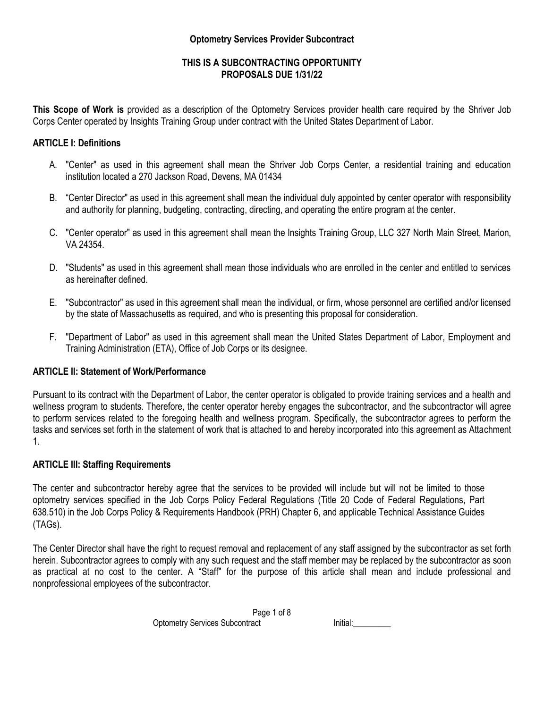### **Optometry Services Provider Subcontract**

# **THIS IS A SUBCONTRACTING OPPORTUNITY PROPOSALS DUE 1/31/22**

**This Scope of Work is** provided as a description of the Optometry Services provider health care required by the Shriver Job Corps Center operated by Insights Training Group under contract with the United States Department of Labor.

### **ARTICLE I: Definitions**

- A. "Center" as used in this agreement shall mean the Shriver Job Corps Center, a residential training and education institution located a 270 Jackson Road, Devens, MA 01434
- B. "Center Director" as used in this agreement shall mean the individual duly appointed by center operator with responsibility and authority for planning, budgeting, contracting, directing, and operating the entire program at the center.
- C. "Center operator" as used in this agreement shall mean the Insights Training Group, LLC 327 North Main Street, Marion, VA 24354.
- D. "Students" as used in this agreement shall mean those individuals who are enrolled in the center and entitled to services as hereinafter defined.
- E. "Subcontractor" as used in this agreement shall mean the individual, or firm, whose personnel are certified and/or licensed by the state of Massachusetts as required, and who is presenting this proposal for consideration.
- F. "Department of Labor" as used in this agreement shall mean the United States Department of Labor, Employment and Training Administration (ETA), Office of Job Corps or its designee.

#### **ARTICLE II: Statement of Work/Performance**

Pursuant to its contract with the Department of Labor, the center operator is obligated to provide training services and a health and wellness program to students. Therefore, the center operator hereby engages the subcontractor, and the subcontractor will agree to perform services related to the foregoing health and wellness program. Specifically, the subcontractor agrees to perform the tasks and services set forth in the statement of work that is attached to and hereby incorporated into this agreement as Attachment 1.

#### **ARTICLE III: Staffing Requirements**

The center and subcontractor hereby agree that the services to be provided will include but will not be limited to those optometry services specified in the Job Corps Policy Federal Regulations (Title 20 Code of Federal Regulations, Part 638.510) in the Job Corps Policy & Requirements Handbook (PRH) Chapter 6, and applicable Technical Assistance Guides (TAGs).

The Center Director shall have the right to request removal and replacement of any staff assigned by the subcontractor as set forth herein. Subcontractor agrees to comply with any such request and the staff member may be replaced by the subcontractor as soon as practical at no cost to the center. A "Staff" for the purpose of this article shall mean and include professional and nonprofessional employees of the subcontractor.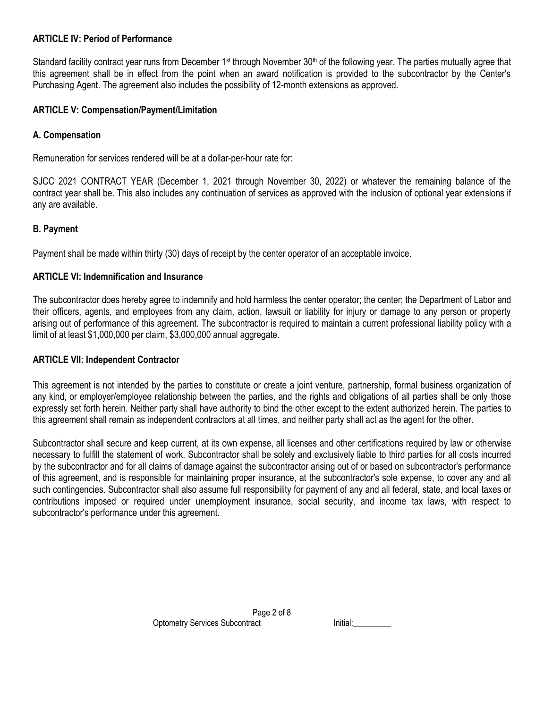# **ARTICLE IV: Period of Performance**

Standard facility contract year runs from December 1<sup>st</sup> through November 30<sup>th</sup> of the following year. The parties mutually agree that this agreement shall be in effect from the point when an award notification is provided to the subcontractor by the Center's Purchasing Agent. The agreement also includes the possibility of 12-month extensions as approved.

### **ARTICLE V: Compensation/Payment/Limitation**

### **A. Compensation**

Remuneration for services rendered will be at a dollar-per-hour rate for:

SJCC 2021 CONTRACT YEAR (December 1, 2021 through November 30, 2022) or whatever the remaining balance of the contract year shall be. This also includes any continuation of services as approved with the inclusion of optional year extensions if any are available.

### **B. Payment**

Payment shall be made within thirty (30) days of receipt by the center operator of an acceptable invoice.

### **ARTICLE VI: Indemnification and Insurance**

The subcontractor does hereby agree to indemnify and hold harmless the center operator; the center; the Department of Labor and their officers, agents, and employees from any claim, action, lawsuit or liability for injury or damage to any person or property arising out of performance of this agreement. The subcontractor is required to maintain a current professional liability policy with a limit of at least \$1,000,000 per claim, \$3,000,000 annual aggregate.

#### **ARTICLE VII: Independent Contractor**

This agreement is not intended by the parties to constitute or create a joint venture, partnership, formal business organization of any kind, or employer/employee relationship between the parties, and the rights and obligations of all parties shall be only those expressly set forth herein. Neither party shall have authority to bind the other except to the extent authorized herein. The parties to this agreement shall remain as independent contractors at all times, and neither party shall act as the agent for the other.

Subcontractor shall secure and keep current, at its own expense, all licenses and other certifications required by law or otherwise necessary to fulfill the statement of work. Subcontractor shall be solely and exclusively liable to third parties for all costs incurred by the subcontractor and for all claims of damage against the subcontractor arising out of or based on subcontractor's performance of this agreement, and is responsible for maintaining proper insurance, at the subcontractor's sole expense, to cover any and all such contingencies. Subcontractor shall also assume full responsibility for payment of any and all federal, state, and local taxes or contributions imposed or required under unemployment insurance, social security, and income tax laws, with respect to subcontractor's performance under this agreement.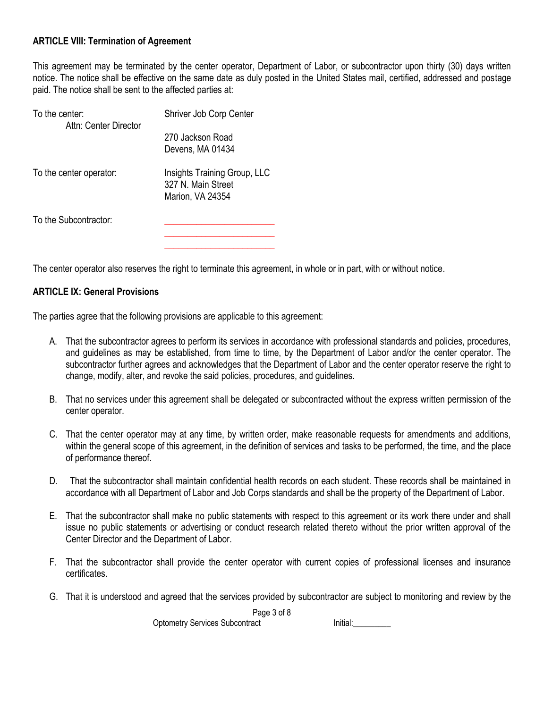# **ARTICLE VIII: Termination of Agreement**

This agreement may be terminated by the center operator, Department of Labor, or subcontractor upon thirty (30) days written notice. The notice shall be effective on the same date as duly posted in the United States mail, certified, addressed and postage paid. The notice shall be sent to the affected parties at:

| To the center:<br>Attn: Center Director | Shriver Job Corp Center                                                |  |
|-----------------------------------------|------------------------------------------------------------------------|--|
|                                         | 270 Jackson Road<br>Devens, MA 01434                                   |  |
| To the center operator:                 | Insights Training Group, LLC<br>327 N. Main Street<br>Marion, VA 24354 |  |
| To the Subcontractor:                   |                                                                        |  |
|                                         |                                                                        |  |

The center operator also reserves the right to terminate this agreement, in whole or in part, with or without notice.

# **ARTICLE IX: General Provisions**

The parties agree that the following provisions are applicable to this agreement:

- A. That the subcontractor agrees to perform its services in accordance with professional standards and policies, procedures, and guidelines as may be established, from time to time, by the Department of Labor and/or the center operator. The subcontractor further agrees and acknowledges that the Department of Labor and the center operator reserve the right to change, modify, alter, and revoke the said policies, procedures, and guidelines.
- B. That no services under this agreement shall be delegated or subcontracted without the express written permission of the center operator.
- C. That the center operator may at any time, by written order, make reasonable requests for amendments and additions, within the general scope of this agreement, in the definition of services and tasks to be performed, the time, and the place of performance thereof.
- D. That the subcontractor shall maintain confidential health records on each student. These records shall be maintained in accordance with all Department of Labor and Job Corps standards and shall be the property of the Department of Labor.
- E. That the subcontractor shall make no public statements with respect to this agreement or its work there under and shall issue no public statements or advertising or conduct research related thereto without the prior written approval of the Center Director and the Department of Labor.
- F. That the subcontractor shall provide the center operator with current copies of professional licenses and insurance certificates.
- G. That it is understood and agreed that the services provided by subcontractor are subject to monitoring and review by the

Page 3 of 8

Optometry Services Subcontract **Initial:** Initial: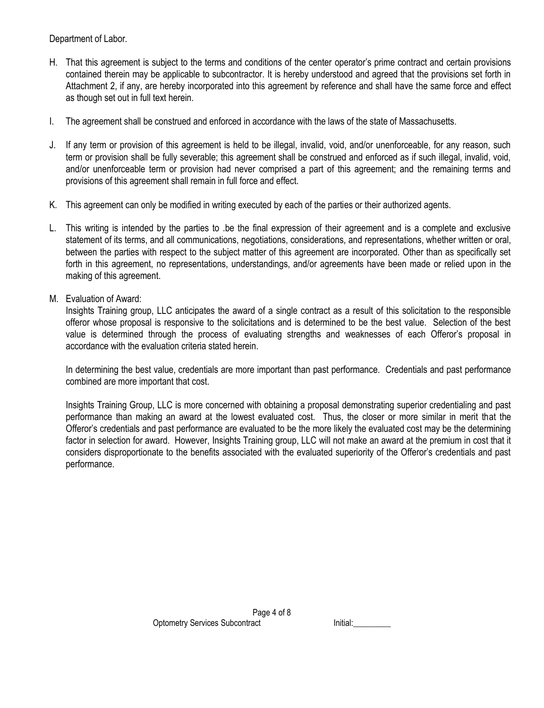Department of Labor.

- H. That this agreement is subject to the terms and conditions of the center operator's prime contract and certain provisions contained therein may be applicable to subcontractor. It is hereby understood and agreed that the provisions set forth in Attachment 2, if any, are hereby incorporated into this agreement by reference and shall have the same force and effect as though set out in full text herein.
- I. The agreement shall be construed and enforced in accordance with the laws of the state of Massachusetts.
- J. If any term or provision of this agreement is held to be illegal, invalid, void, and/or unenforceable, for any reason, such term or provision shall be fully severable; this agreement shall be construed and enforced as if such illegal, invalid, void, and/or unenforceable term or provision had never comprised a part of this agreement; and the remaining terms and provisions of this agreement shall remain in full force and effect.
- K. This agreement can only be modified in writing executed by each of the parties or their authorized agents.
- L. This writing is intended by the parties to .be the final expression of their agreement and is a complete and exclusive statement of its terms, and all communications, negotiations, considerations, and representations, whether written or oral, between the parties with respect to the subject matter of this agreement are incorporated. Other than as specifically set forth in this agreement, no representations, understandings, and/or agreements have been made or relied upon in the making of this agreement.
- M. Evaluation of Award:

Insights Training group, LLC anticipates the award of a single contract as a result of this solicitation to the responsible offeror whose proposal is responsive to the solicitations and is determined to be the best value. Selection of the best value is determined through the process of evaluating strengths and weaknesses of each Offeror's proposal in accordance with the evaluation criteria stated herein.

In determining the best value, credentials are more important than past performance. Credentials and past performance combined are more important that cost.

Insights Training Group, LLC is more concerned with obtaining a proposal demonstrating superior credentialing and past performance than making an award at the lowest evaluated cost. Thus, the closer or more similar in merit that the Offeror's credentials and past performance are evaluated to be the more likely the evaluated cost may be the determining factor in selection for award. However, Insights Training group, LLC will not make an award at the premium in cost that it considers disproportionate to the benefits associated with the evaluated superiority of the Offeror's credentials and past performance.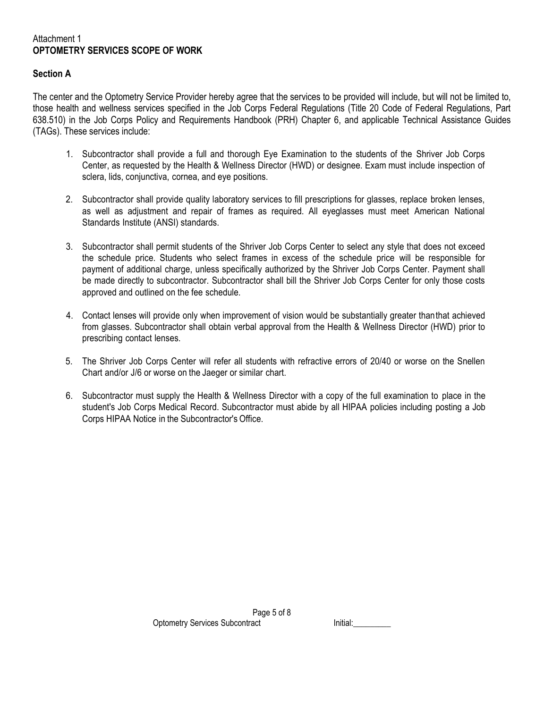### Attachment 1 **OPTOMETRY SERVICES SCOPE OF WORK**

# **Section A**

The center and the Optometry Service Provider hereby agree that the services to be provided will include, but will not be limited to, those health and wellness services specified in the Job Corps Federal Regulations (Title 20 Code of Federal Regulations, Part 638.510) in the Job Corps Policy and Requirements Handbook (PRH) Chapter 6, and applicable Technical Assistance Guides (TAGs). These services include:

- 1. Subcontractor shall provide a full and thorough Eye Examination to the students of the Shriver Job Corps Center, as requested by the Health & Wellness Director (HWD) or designee. Exam must include inspection of sclera, lids, conjunctiva, cornea, and eye positions.
- 2. Subcontractor shall provide quality laboratory services to fill prescriptions for glasses, replace broken lenses, as well as adjustment and repair of frames as required. All eyeglasses must meet American National Standards Institute (ANSI) standards.
- 3. Subcontractor shall permit students of the Shriver Job Corps Center to select any style that does not exceed the schedule price. Students who select frames in excess of the schedule price will be responsible for payment of additional charge, unless specifically authorized by the Shriver Job Corps Center. Payment shall be made directly to subcontractor. Subcontractor shall bill the Shriver Job Corps Center for only those costs approved and outlined on the fee schedule.
- 4. Contact lenses will provide only when improvement of vision would be substantially greater thanthat achieved from glasses. Subcontractor shall obtain verbal approval from the Health & Wellness Director (HWD) prior to prescribing contact lenses.
- 5. The Shriver Job Corps Center will refer all students with refractive errors of 20/40 or worse on the Snellen Chart and/or J/6 or worse on the Jaeger or similar chart.
- 6. Subcontractor must supply the Health & Wellness Director with a copy of the full examination to place in the student's Job Corps Medical Record. Subcontractor must abide by all HIPAA policies including posting a Job Corps HIPAA Notice in the Subcontractor's Office.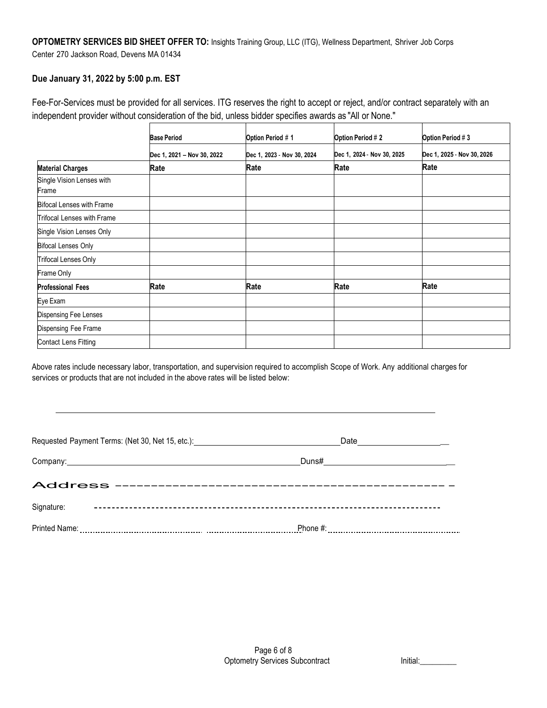# **OPTOMETRY SERVICES BID SHEET OFFER TO:** Insights Training Group, LLC (ITG), Wellness Department, Shriver Job Corps Center 270 Jackson Road, Devens MA 01434

# **Due January 31, 2022 by 5:00 p.m. EST**

Fee-For-Services must be provided for all services. ITG reserves the right to accept or reject, and/or contract separately with an independent provider without consideration of the bid, unless bidder specifies awards as "All or None."

|                                    | <b>Base Period</b>         | Option Period # 1          | Option Period # 2          | Option Period #3           |
|------------------------------------|----------------------------|----------------------------|----------------------------|----------------------------|
|                                    | Dec 1, 2021 - Nov 30, 2022 | Dec 1, 2023 - Nov 30, 2024 | Dec 1, 2024 - Nov 30, 2025 | Dec 1, 2025 - Nov 30, 2026 |
| <b>Material Charges</b>            | Rate                       | Rate                       | Rate                       | Rate                       |
| Single Vision Lenses with<br>Frame |                            |                            |                            |                            |
| <b>Bifocal Lenses with Frame</b>   |                            |                            |                            |                            |
| Trifocal Lenses with Frame         |                            |                            |                            |                            |
| Single Vision Lenses Only          |                            |                            |                            |                            |
| <b>Bifocal Lenses Only</b>         |                            |                            |                            |                            |
| <b>Trifocal Lenses Only</b>        |                            |                            |                            |                            |
| Frame Only                         |                            |                            |                            |                            |
| <b>Professional Fees</b>           | Rate                       | Rate                       | Rate                       | Rate                       |
| Eye Exam                           |                            |                            |                            |                            |
| Dispensing Fee Lenses              |                            |                            |                            |                            |
| Dispensing Fee Frame               |                            |                            |                            |                            |
| <b>Contact Lens Fitting</b>        |                            |                            |                            |                            |

Above rates include necessary labor, transportation, and supervision required to accomplish Scope of Work. Any additional charges for services or products that are not included in the above rates will be listed below:

| Requested Payment Terms: (Net 30, Net 15, etc.): _______________________________ | Date ___________________         |
|----------------------------------------------------------------------------------|----------------------------------|
|                                                                                  | Duns# __________________________ |
|                                                                                  |                                  |
| Signature:                                                                       |                                  |
|                                                                                  |                                  |

| шаг |  |
|-----|--|
|     |  |
|     |  |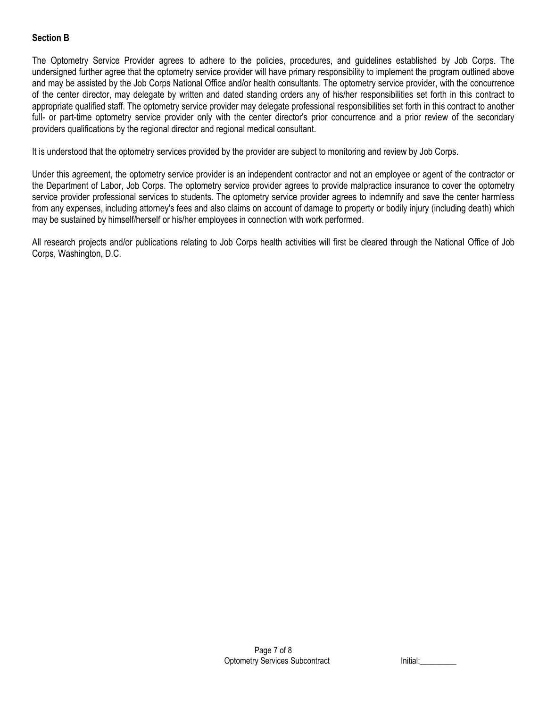# **Section B**

The Optometry Service Provider agrees to adhere to the policies, procedures, and guidelines established by Job Corps. The undersigned further agree that the optometry service provider will have primary responsibility to implement the program outlined above and may be assisted by the Job Corps National Office and/or health consultants. The optometry service provider, with the concurrence of the center director, may delegate by written and dated standing orders any of his/her responsibilities set forth in this contract to appropriate qualified staff. The optometry service provider may delegate professional responsibilities set forth in this contract to another full- or part-time optometry service provider only with the center director's prior concurrence and a prior review of the secondary providers qualifications by the regional director and regional medical consultant.

It is understood that the optometry services provided by the provider are subject to monitoring and review by Job Corps.

Under this agreement, the optometry service provider is an independent contractor and not an employee or agent of the contractor or the Department of Labor, Job Corps. The optometry service provider agrees to provide malpractice insurance to cover the optometry service provider professional services to students. The optometry service provider agrees to indemnify and save the center harmless from any expenses, including attorney's fees and also claims on account of damage to property or bodily injury (including death) which may be sustained by himself/herself or his/her employees in connection with work performed.

All research projects and/or publications relating to Job Corps health activities will first be cleared through the National Office of Job Corps, Washington, D.C.